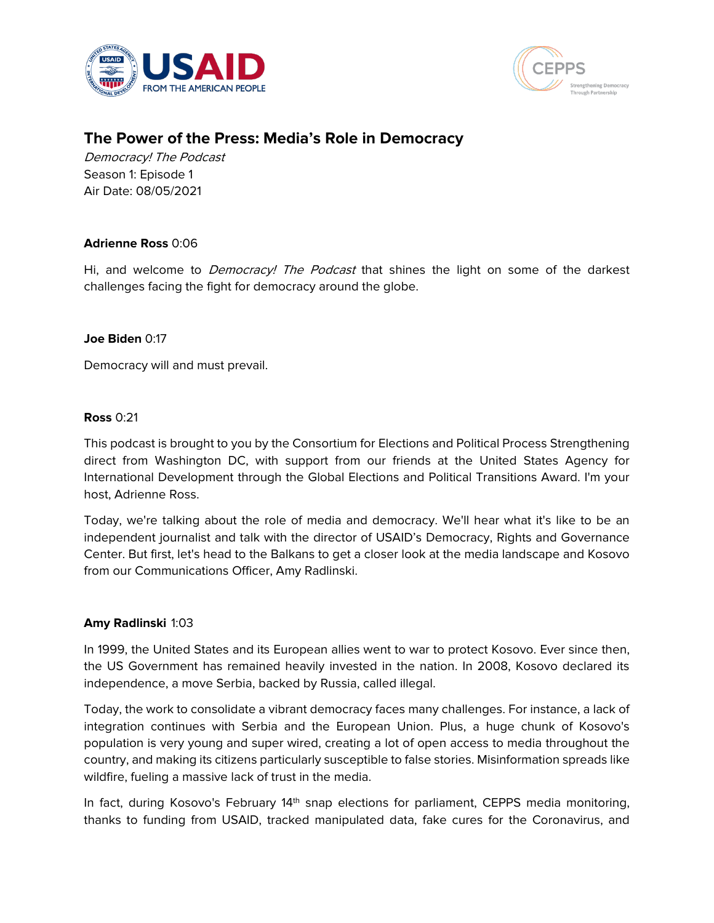



# **The Power of the Press: Media's Role in Democracy**

Democracy! The Podcast Season 1: Episode 1 Air Date: 08/05/2021

# **Adrienne Ross** 0:06

Hi, and welcome to *Democracy! The Podcast* that shines the light on some of the darkest challenges facing the fight for democracy around the globe.

# **Joe Biden** 0:17

Democracy will and must prevail.

### **Ross** 0:21

This podcast is brought to you by the Consortium for Elections and Political Process Strengthening direct from Washington DC, with support from our friends at the United States Agency for International Development through the Global Elections and Political Transitions Award. I'm your host, Adrienne Ross.

Today, we're talking about the role of media and democracy. We'll hear what it's like to be an independent journalist and talk with the director of USAID's Democracy, Rights and Governance Center. But first, let's head to the Balkans to get a closer look at the media landscape and Kosovo from our Communications Officer, Amy Radlinski.

# **Amy Radlinski** 1:03

In 1999, the United States and its European allies went to war to protect Kosovo. Ever since then, the US Government has remained heavily invested in the nation. In 2008, Kosovo declared its independence, a move Serbia, backed by Russia, called illegal.

Today, the work to consolidate a vibrant democracy faces many challenges. For instance, a lack of integration continues with Serbia and the European Union. Plus, a huge chunk of Kosovo's population is very young and super wired, creating a lot of open access to media throughout the country, and making its citizens particularly susceptible to false stories. Misinformation spreads like wildfire, fueling a massive lack of trust in the media.

In fact, during Kosovo's February 14<sup>th</sup> snap elections for parliament, CEPPS media monitoring, thanks to funding from USAID, tracked manipulated data, fake cures for the Coronavirus, and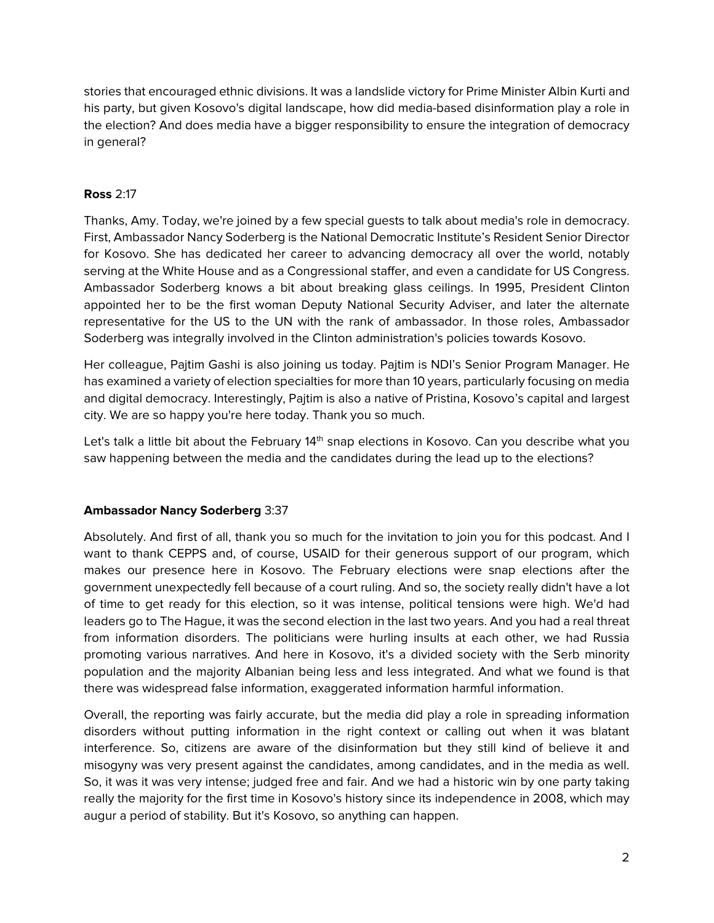stories that encouraged ethnic divisions. It was a landslide victory for Prime Minister Albin Kurti and his party, but given Kosovo's digital landscape, how did media-based disinformation play a role in the election? And does media have a bigger responsibility to ensure the integration of democracy in general?

# **Ross** 2:17

Thanks, Amy. Today, we're joined by a few special guests to talk about media's role in democracy. First, Ambassador Nancy Soderberg is the National Democratic Institute's Resident Senior Director for Kosovo. She has dedicated her career to advancing democracy all over the world, notably serving at the White House and as a Congressional staffer, and even a candidate for US Congress. Ambassador Soderberg knows a bit about breaking glass ceilings. In 1995, President Clinton appointed her to be the first woman Deputy National Security Adviser, and later the alternate representative for the US to the UN with the rank of ambassador. In those roles, Ambassador Soderberg was integrally involved in the Clinton administration's policies towards Kosovo.

Her colleague, Pajtim Gashi is also joining us today. Pajtim is NDI's Senior Program Manager. He has examined a variety of election specialties for more than 10 years, particularly focusing on media and digital democracy. Interestingly, Pajtim is also a native of Pristina, Kosovo's capital and largest city. We are so happy you're here today. Thank you so much.

Let's talk a little bit about the February  $14<sup>th</sup>$  snap elections in Kosovo. Can you describe what you saw happening between the media and the candidates during the lead up to the elections?

# **Ambassador Nancy Soderberg** 3:37

Absolutely. And first of all, thank you so much for the invitation to join you for this podcast. And I want to thank CEPPS and, of course, USAID for their generous support of our program, which makes our presence here in Kosovo. The February elections were snap elections after the government unexpectedly fell because of a court ruling. And so, the society really didn't have a lot of time to get ready for this election, so it was intense, political tensions were high. We'd had leaders go to The Hague, it was the second election in the last two years. And you had a real threat from information disorders. The politicians were hurling insults at each other, we had Russia promoting various narratives. And here in Kosovo, it's a divided society with the Serb minority population and the majority Albanian being less and less integrated. And what we found is that there was widespread false information, exaggerated information harmful information.

Overall, the reporting was fairly accurate, but the media did play a role in spreading information disorders without putting information in the right context or calling out when it was blatant interference. So, citizens are aware of the disinformation but they still kind of believe it and misogyny was very present against the candidates, among candidates, and in the media as well. So, it was it was very intense; judged free and fair. And we had a historic win by one party taking really the majority for the first time in Kosovo's history since its independence in 2008, which may augur a period of stability. But it's Kosovo, so anything can happen.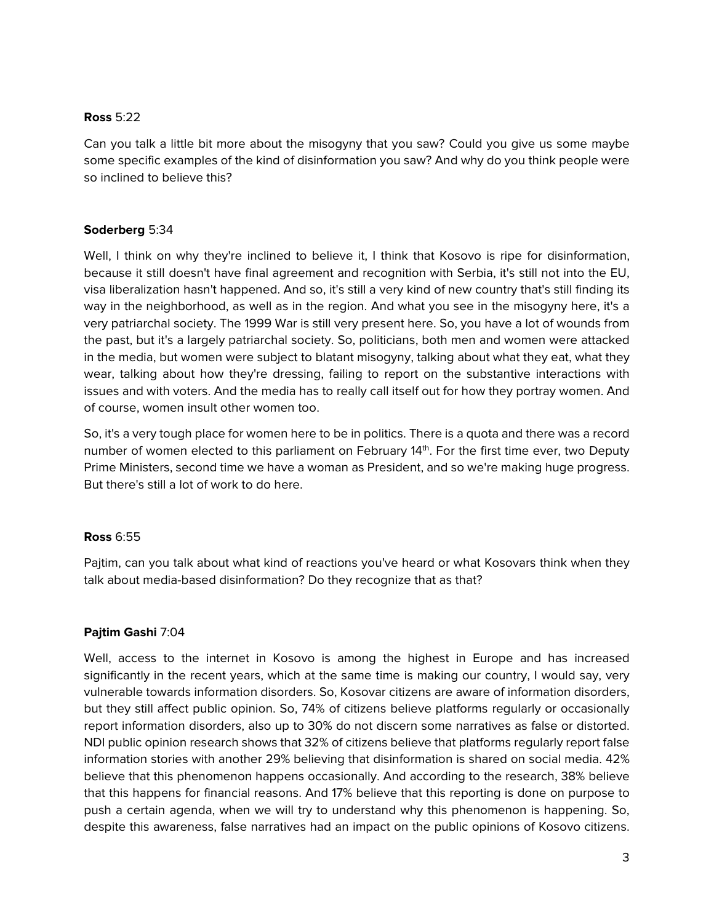### **Ross** 5:22

Can you talk a little bit more about the misogyny that you saw? Could you give us some maybe some specific examples of the kind of disinformation you saw? And why do you think people were so inclined to believe this?

# **Soderberg** 5:34

Well, I think on why they're inclined to believe it, I think that Kosovo is ripe for disinformation, because it still doesn't have final agreement and recognition with Serbia, it's still not into the EU, visa liberalization hasn't happened. And so, it's still a very kind of new country that's still finding its way in the neighborhood, as well as in the region. And what you see in the misogyny here, it's a very patriarchal society. The 1999 War is still very present here. So, you have a lot of wounds from the past, but it's a largely patriarchal society. So, politicians, both men and women were attacked in the media, but women were subject to blatant misogyny, talking about what they eat, what they wear, talking about how they're dressing, failing to report on the substantive interactions with issues and with voters. And the media has to really call itself out for how they portray women. And of course, women insult other women too.

So, it's a very tough place for women here to be in politics. There is a quota and there was a record number of women elected to this parliament on February 14<sup>th</sup>. For the first time ever, two Deputy Prime Ministers, second time we have a woman as President, and so we're making huge progress. But there's still a lot of work to do here.

# **Ross** 6:55

Pajtim, can you talk about what kind of reactions you've heard or what Kosovars think when they talk about media-based disinformation? Do they recognize that as that?

# **Pajtim Gashi** 7:04

Well, access to the internet in Kosovo is among the highest in Europe and has increased significantly in the recent years, which at the same time is making our country, I would say, very vulnerable towards information disorders. So, Kosovar citizens are aware of information disorders, but they still affect public opinion. So, 74% of citizens believe platforms regularly or occasionally report information disorders, also up to 30% do not discern some narratives as false or distorted. NDI public opinion research shows that 32% of citizens believe that platforms regularly report false information stories with another 29% believing that disinformation is shared on social media. 42% believe that this phenomenon happens occasionally. And according to the research, 38% believe that this happens for financial reasons. And 17% believe that this reporting is done on purpose to push a certain agenda, when we will try to understand why this phenomenon is happening. So, despite this awareness, false narratives had an impact on the public opinions of Kosovo citizens.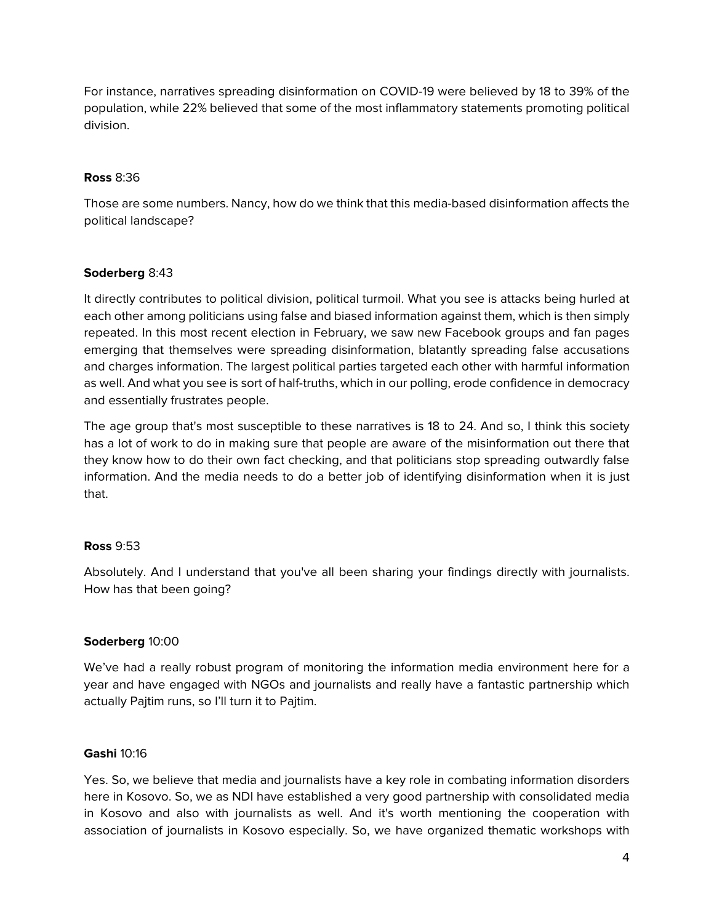For instance, narratives spreading disinformation on COVID-19 were believed by 18 to 39% of the population, while 22% believed that some of the most inflammatory statements promoting political division.

### **Ross** 8:36

Those are some numbers. Nancy, how do we think that this media-based disinformation affects the political landscape?

# **Soderberg** 8:43

It directly contributes to political division, political turmoil. What you see is attacks being hurled at each other among politicians using false and biased information against them, which is then simply repeated. In this most recent election in February, we saw new Facebook groups and fan pages emerging that themselves were spreading disinformation, blatantly spreading false accusations and charges information. The largest political parties targeted each other with harmful information as well. And what you see is sort of half-truths, which in our polling, erode confidence in democracy and essentially frustrates people.

The age group that's most susceptible to these narratives is 18 to 24. And so, I think this society has a lot of work to do in making sure that people are aware of the misinformation out there that they know how to do their own fact checking, and that politicians stop spreading outwardly false information. And the media needs to do a better job of identifying disinformation when it is just that.

# **Ross** 9:53

Absolutely. And I understand that you've all been sharing your findings directly with journalists. How has that been going?

# **Soderberg** 10:00

We've had a really robust program of monitoring the information media environment here for a year and have engaged with NGOs and journalists and really have a fantastic partnership which actually Pajtim runs, so I'll turn it to Pajtim.

# **Gashi** 10:16

Yes. So, we believe that media and journalists have a key role in combating information disorders here in Kosovo. So, we as NDI have established a very good partnership with consolidated media in Kosovo and also with journalists as well. And it's worth mentioning the cooperation with association of journalists in Kosovo especially. So, we have organized thematic workshops with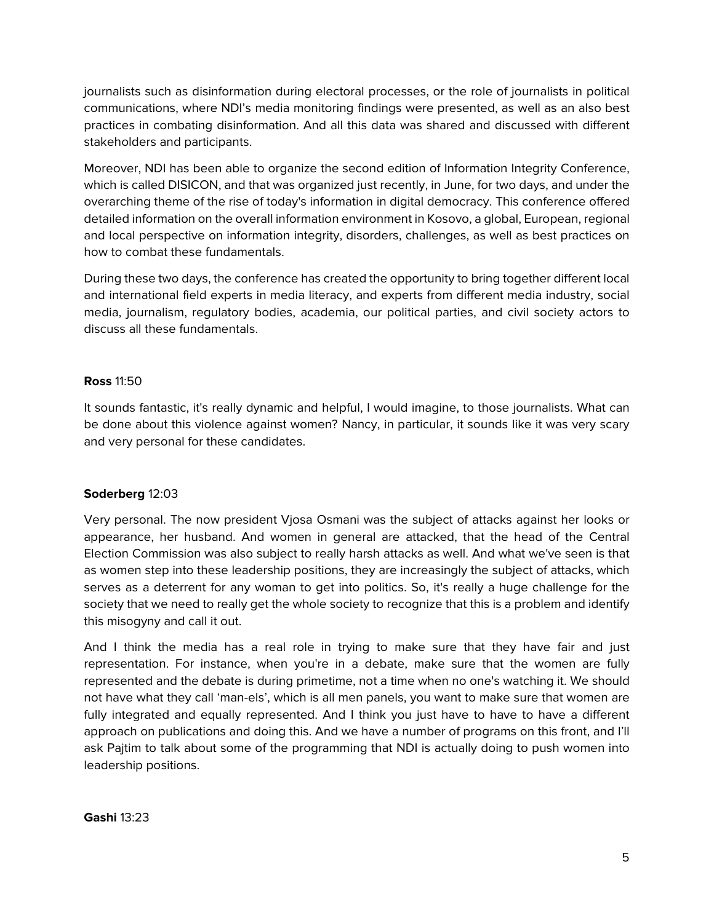journalists such as disinformation during electoral processes, or the role of journalists in political communications, where NDI's media monitoring findings were presented, as well as an also best practices in combating disinformation. And all this data was shared and discussed with different stakeholders and participants.

Moreover, NDI has been able to organize the second edition of Information Integrity Conference, which is called DISICON, and that was organized just recently, in June, for two days, and under the overarching theme of the rise of today's information in digital democracy. This conference offered detailed information on the overall information environment in Kosovo, a global, European, regional and local perspective on information integrity, disorders, challenges, as well as best practices on how to combat these fundamentals.

During these two days, the conference has created the opportunity to bring together different local and international field experts in media literacy, and experts from different media industry, social media, journalism, regulatory bodies, academia, our political parties, and civil society actors to discuss all these fundamentals.

# **Ross** 11:50

It sounds fantastic, it's really dynamic and helpful, I would imagine, to those journalists. What can be done about this violence against women? Nancy, in particular, it sounds like it was very scary and very personal for these candidates.

# **Soderberg** 12:03

Very personal. The now president Vjosa Osmani was the subject of attacks against her looks or appearance, her husband. And women in general are attacked, that the head of the Central Election Commission was also subject to really harsh attacks as well. And what we've seen is that as women step into these leadership positions, they are increasingly the subject of attacks, which serves as a deterrent for any woman to get into politics. So, it's really a huge challenge for the society that we need to really get the whole society to recognize that this is a problem and identify this misogyny and call it out.

And I think the media has a real role in trying to make sure that they have fair and just representation. For instance, when you're in a debate, make sure that the women are fully represented and the debate is during primetime, not a time when no one's watching it. We should not have what they call 'man-els', which is all men panels, you want to make sure that women are fully integrated and equally represented. And I think you just have to have to have a different approach on publications and doing this. And we have a number of programs on this front, and I'll ask Pajtim to talk about some of the programming that NDI is actually doing to push women into leadership positions.

# **Gashi** 13:23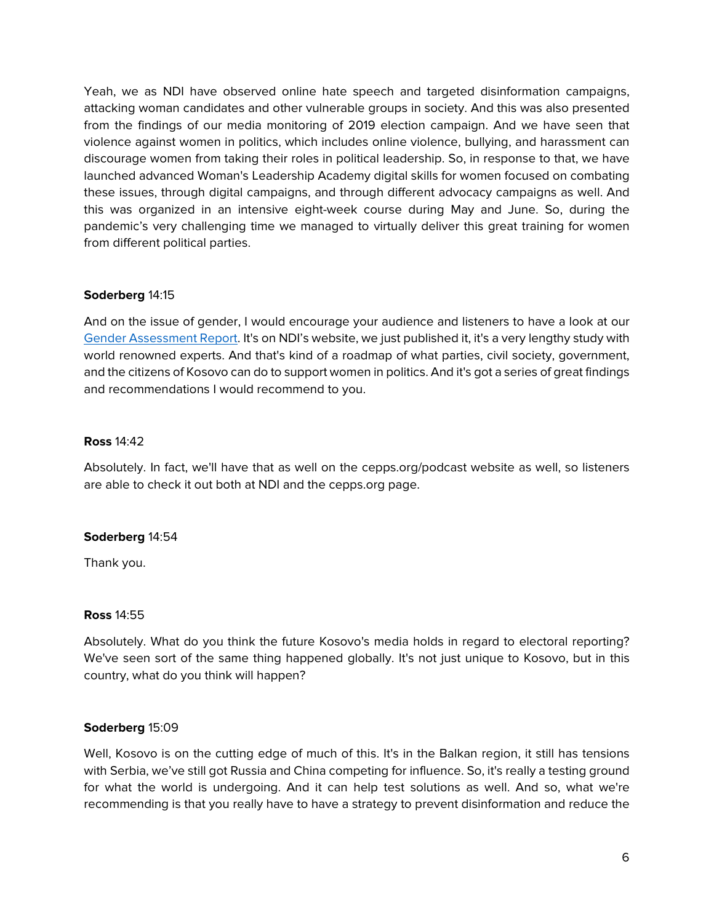Yeah, we as NDI have observed online hate speech and targeted disinformation campaigns, attacking woman candidates and other vulnerable groups in society. And this was also presented from the findings of our media monitoring of 2019 election campaign. And we have seen that violence against women in politics, which includes online violence, bullying, and harassment can discourage women from taking their roles in political leadership. So, in response to that, we have launched advanced Woman's Leadership Academy digital skills for women focused on combating these issues, through digital campaigns, and through different advocacy campaigns as well. And this was organized in an intensive eight-week course during May and June. So, during the pandemic's very challenging time we managed to virtually deliver this great training for women from different political parties.

# **Soderberg** 14:15

And on the issue of gender, I would encourage your audience and listeners to have a look at our [Gender Assessment Report.](https://www.ndi.org/publications/kosovos-vibrant-democracy-closing-deficit-womens-full-participation) It's on NDI's website, we just published it, it's a very lengthy study with world renowned experts. And that's kind of a roadmap of what parties, civil society, government, and the citizens of Kosovo can do to support women in politics. And it's got a series of great findings and recommendations I would recommend to you.

# **Ross** 14:42

Absolutely. In fact, we'll have that as well on the cepps.org/podcast website as well, so listeners are able to check it out both at NDI and the cepps.org page.

# **Soderberg** 14:54

Thank you.

# **Ross** 14:55

Absolutely. What do you think the future Kosovo's media holds in regard to electoral reporting? We've seen sort of the same thing happened globally. It's not just unique to Kosovo, but in this country, what do you think will happen?

# **Soderberg** 15:09

Well, Kosovo is on the cutting edge of much of this. It's in the Balkan region, it still has tensions with Serbia, we've still got Russia and China competing for influence. So, it's really a testing ground for what the world is undergoing. And it can help test solutions as well. And so, what we're recommending is that you really have to have a strategy to prevent disinformation and reduce the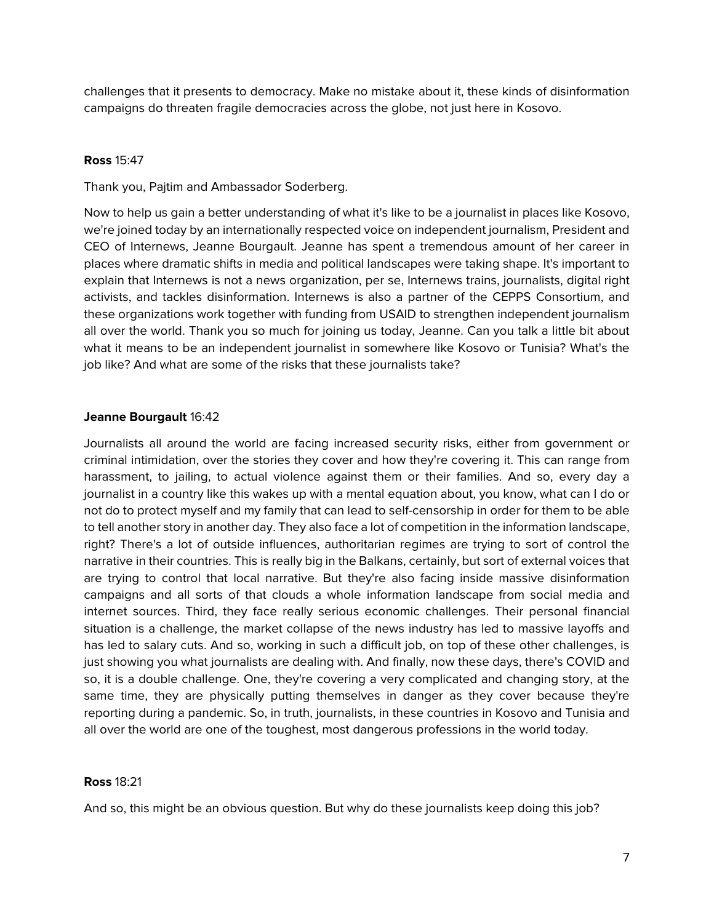challenges that it presents to democracy. Make no mistake about it, these kinds of disinformation campaigns do threaten fragile democracies across the globe, not just here in Kosovo.

### **Ross** 15:47

Thank you, Pajtim and Ambassador Soderberg.

Now to help us gain a better understanding of what it's like to be a journalist in places like Kosovo, we're joined today by an internationally respected voice on independent journalism, President and CEO of Internews, Jeanne Bourgault. Jeanne has spent a tremendous amount of her career in places where dramatic shifts in media and political landscapes were taking shape. It's important to explain that Internews is not a news organization, per se, Internews trains, journalists, digital right activists, and tackles disinformation. Internews is also a partner of the CEPPS Consortium, and these organizations work together with funding from USAID to strengthen independent journalism all over the world. Thank you so much for joining us today, Jeanne. Can you talk a little bit about what it means to be an independent journalist in somewhere like Kosovo or Tunisia? What's the job like? And what are some of the risks that these journalists take?

### **Jeanne Bourgault** 16:42

Journalists all around the world are facing increased security risks, either from government or criminal intimidation, over the stories they cover and how they're covering it. This can range from harassment, to jailing, to actual violence against them or their families. And so, every day a journalist in a country like this wakes up with a mental equation about, you know, what can I do or not do to protect myself and my family that can lead to self-censorship in order for them to be able to tell another story in another day. They also face a lot of competition in the information landscape, right? There's a lot of outside influences, authoritarian regimes are trying to sort of control the narrative in their countries. This is really big in the Balkans, certainly, but sort of external voices that are trying to control that local narrative. But they're also facing inside massive disinformation campaigns and all sorts of that clouds a whole information landscape from social media and internet sources. Third, they face really serious economic challenges. Their personal financial situation is a challenge, the market collapse of the news industry has led to massive layoffs and has led to salary cuts. And so, working in such a difficult job, on top of these other challenges, is just showing you what journalists are dealing with. And finally, now these days, there's COVID and so, it is a double challenge. One, they're covering a very complicated and changing story, at the same time, they are physically putting themselves in danger as they cover because they're reporting during a pandemic. So, in truth, journalists, in these countries in Kosovo and Tunisia and all over the world are one of the toughest, most dangerous professions in the world today.

### **Ross** 18:21

And so, this might be an obvious question. But why do these journalists keep doing this job?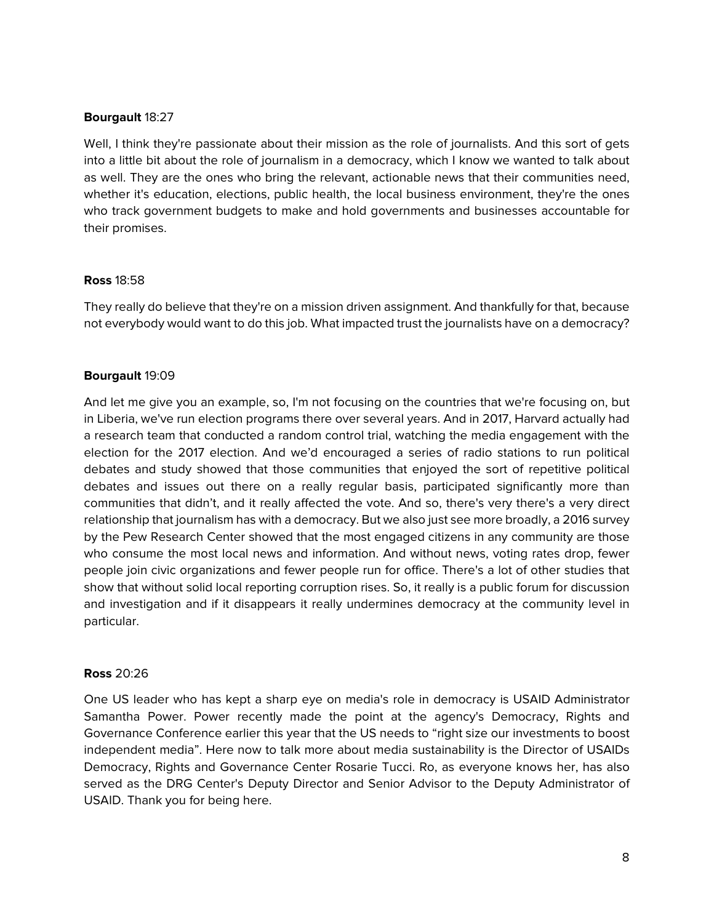#### **Bourgault** 18:27

Well, I think they're passionate about their mission as the role of journalists. And this sort of gets into a little bit about the role of journalism in a democracy, which I know we wanted to talk about as well. They are the ones who bring the relevant, actionable news that their communities need, whether it's education, elections, public health, the local business environment, they're the ones who track government budgets to make and hold governments and businesses accountable for their promises.

### **Ross** 18:58

They really do believe that they're on a mission driven assignment. And thankfully for that, because not everybody would want to do this job. What impacted trust the journalists have on a democracy?

### **Bourgault** 19:09

And let me give you an example, so, I'm not focusing on the countries that we're focusing on, but in Liberia, we've run election programs there over several years. And in 2017, Harvard actually had a research team that conducted a random control trial, watching the media engagement with the election for the 2017 election. And we'd encouraged a series of radio stations to run political debates and study showed that those communities that enjoyed the sort of repetitive political debates and issues out there on a really regular basis, participated significantly more than communities that didn't, and it really affected the vote. And so, there's very there's a very direct relationship that journalism has with a democracy. But we also just see more broadly, a 2016 survey by the Pew Research Center showed that the most engaged citizens in any community are those who consume the most local news and information. And without news, voting rates drop, fewer people join civic organizations and fewer people run for office. There's a lot of other studies that show that without solid local reporting corruption rises. So, it really is a public forum for discussion and investigation and if it disappears it really undermines democracy at the community level in particular.

### **Ross** 20:26

One US leader who has kept a sharp eye on media's role in democracy is USAID Administrator Samantha Power. Power recently made the point at the agency's Democracy, Rights and Governance Conference earlier this year that the US needs to "right size our investments to boost independent media". Here now to talk more about media sustainability is the Director of USAIDs Democracy, Rights and Governance Center Rosarie Tucci. Ro, as everyone knows her, has also served as the DRG Center's Deputy Director and Senior Advisor to the Deputy Administrator of USAID. Thank you for being here.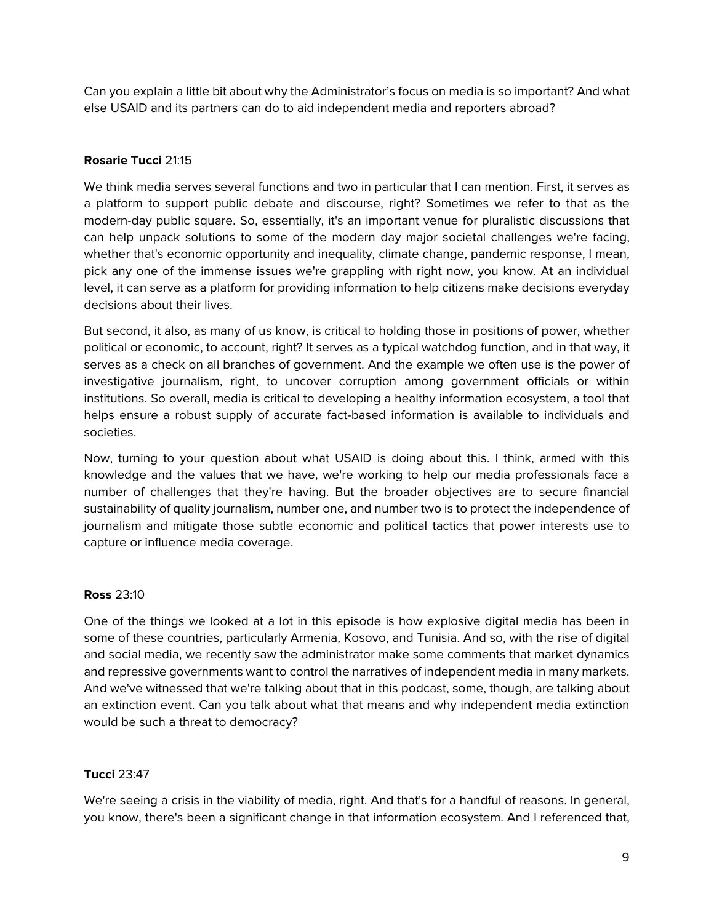Can you explain a little bit about why the Administrator's focus on media is so important? And what else USAID and its partners can do to aid independent media and reporters abroad?

# **Rosarie Tucci** 21:15

We think media serves several functions and two in particular that I can mention. First, it serves as a platform to support public debate and discourse, right? Sometimes we refer to that as the modern-day public square. So, essentially, it's an important venue for pluralistic discussions that can help unpack solutions to some of the modern day major societal challenges we're facing, whether that's economic opportunity and inequality, climate change, pandemic response, I mean, pick any one of the immense issues we're grappling with right now, you know. At an individual level, it can serve as a platform for providing information to help citizens make decisions everyday decisions about their lives.

But second, it also, as many of us know, is critical to holding those in positions of power, whether political or economic, to account, right? It serves as a typical watchdog function, and in that way, it serves as a check on all branches of government. And the example we often use is the power of investigative journalism, right, to uncover corruption among government officials or within institutions. So overall, media is critical to developing a healthy information ecosystem, a tool that helps ensure a robust supply of accurate fact-based information is available to individuals and societies.

Now, turning to your question about what USAID is doing about this. I think, armed with this knowledge and the values that we have, we're working to help our media professionals face a number of challenges that they're having. But the broader objectives are to secure financial sustainability of quality journalism, number one, and number two is to protect the independence of journalism and mitigate those subtle economic and political tactics that power interests use to capture or influence media coverage.

### **Ross** 23:10

One of the things we looked at a lot in this episode is how explosive digital media has been in some of these countries, particularly Armenia, Kosovo, and Tunisia. And so, with the rise of digital and social media, we recently saw the administrator make some comments that market dynamics and repressive governments want to control the narratives of independent media in many markets. And we've witnessed that we're talking about that in this podcast, some, though, are talking about an extinction event. Can you talk about what that means and why independent media extinction would be such a threat to democracy?

### **Tucci** 23:47

We're seeing a crisis in the viability of media, right. And that's for a handful of reasons. In general, you know, there's been a significant change in that information ecosystem. And I referenced that,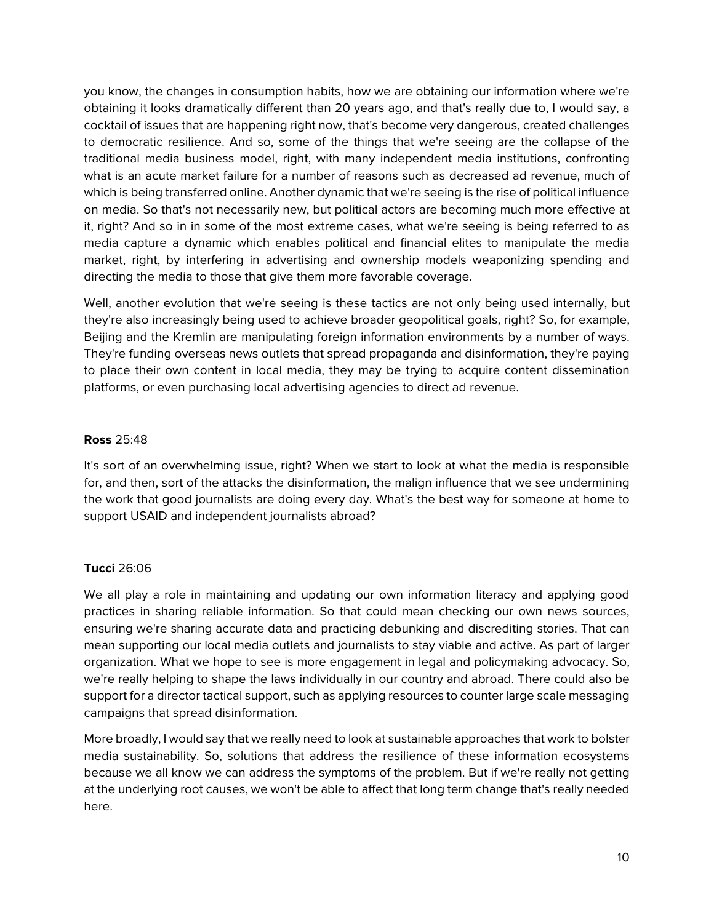you know, the changes in consumption habits, how we are obtaining our information where we're obtaining it looks dramatically different than 20 years ago, and that's really due to, I would say, a cocktail of issues that are happening right now, that's become very dangerous, created challenges to democratic resilience. And so, some of the things that we're seeing are the collapse of the traditional media business model, right, with many independent media institutions, confronting what is an acute market failure for a number of reasons such as decreased ad revenue, much of which is being transferred online. Another dynamic that we're seeing is the rise of political influence on media. So that's not necessarily new, but political actors are becoming much more effective at it, right? And so in in some of the most extreme cases, what we're seeing is being referred to as media capture a dynamic which enables political and financial elites to manipulate the media market, right, by interfering in advertising and ownership models weaponizing spending and directing the media to those that give them more favorable coverage.

Well, another evolution that we're seeing is these tactics are not only being used internally, but they're also increasingly being used to achieve broader geopolitical goals, right? So, for example, Beijing and the Kremlin are manipulating foreign information environments by a number of ways. They're funding overseas news outlets that spread propaganda and disinformation, they're paying to place their own content in local media, they may be trying to acquire content dissemination platforms, or even purchasing local advertising agencies to direct ad revenue.

### **Ross** 25:48

It's sort of an overwhelming issue, right? When we start to look at what the media is responsible for, and then, sort of the attacks the disinformation, the malign influence that we see undermining the work that good journalists are doing every day. What's the best way for someone at home to support USAID and independent journalists abroad?

# **Tucci** 26:06

We all play a role in maintaining and updating our own information literacy and applying good practices in sharing reliable information. So that could mean checking our own news sources, ensuring we're sharing accurate data and practicing debunking and discrediting stories. That can mean supporting our local media outlets and journalists to stay viable and active. As part of larger organization. What we hope to see is more engagement in legal and policymaking advocacy. So, we're really helping to shape the laws individually in our country and abroad. There could also be support for a director tactical support, such as applying resources to counter large scale messaging campaigns that spread disinformation.

More broadly, I would say that we really need to look at sustainable approaches that work to bolster media sustainability. So, solutions that address the resilience of these information ecosystems because we all know we can address the symptoms of the problem. But if we're really not getting at the underlying root causes, we won't be able to affect that long term change that's really needed here.